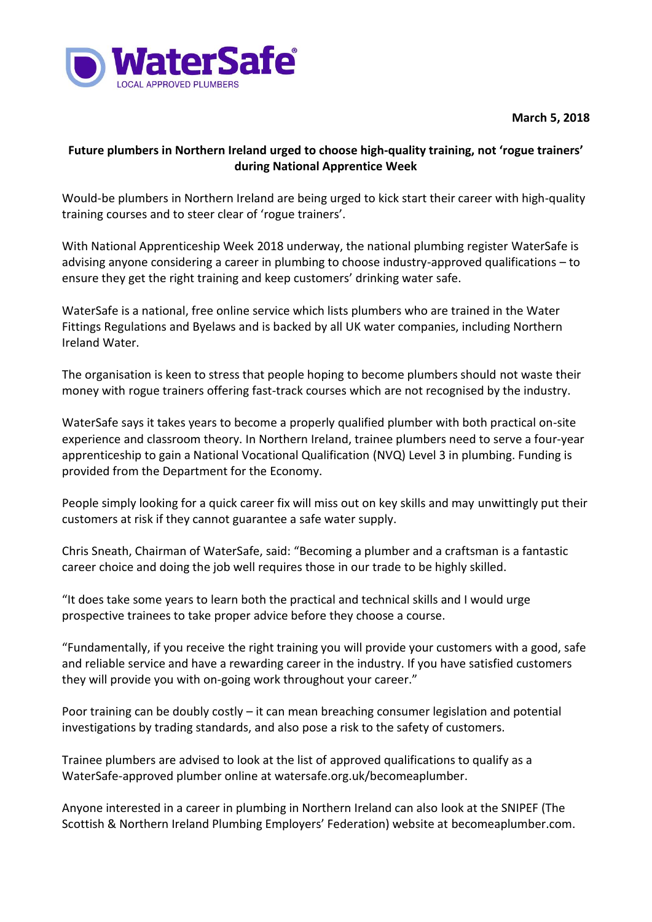

**March 5, 2018**

## **Future plumbers in Northern Ireland urged to choose high-quality training, not 'rogue trainers' during National Apprentice Week**

Would-be plumbers in Northern Ireland are being urged to kick start their career with high-quality training courses and to steer clear of 'rogue trainers'.

With National Apprenticeship Week 2018 underway, the national plumbing register WaterSafe is advising anyone considering a career in plumbing to choose industry-approved qualifications – to ensure they get the right training and keep customers' drinking water safe.

WaterSafe is a national, free online service which lists plumbers who are trained in the Water Fittings Regulations and Byelaws and is backed by all UK water companies, including Northern Ireland Water.

The organisation is keen to stress that people hoping to become plumbers should not waste their money with rogue trainers offering fast-track courses which are not recognised by the industry.

WaterSafe says it takes years to become a properly qualified plumber with both practical on-site experience and classroom theory. In Northern Ireland, trainee plumbers need to serve a four-year apprenticeship to gain a National Vocational Qualification (NVQ) Level 3 in plumbing. Funding is provided from the Department for the Economy.

People simply looking for a quick career fix will miss out on key skills and may unwittingly put their customers at risk if they cannot guarantee a safe water supply.

Chris Sneath, Chairman of WaterSafe, said: "Becoming a plumber and a craftsman is a fantastic career choice and doing the job well requires those in our trade to be highly skilled.

"It does take some years to learn both the practical and technical skills and I would urge prospective trainees to take proper advice before they choose a course.

"Fundamentally, if you receive the right training you will provide your customers with a good, safe and reliable service and have a rewarding career in the industry. If you have satisfied customers they will provide you with on-going work throughout your career."

Poor training can be doubly costly – it can mean breaching consumer legislation and potential investigations by trading standards, and also pose a risk to the safety of customers.

Trainee plumbers are advised to look at the list of approved qualifications to qualify as a WaterSafe-approved plumber online at watersafe.org.uk/becomeaplumber.

Anyone interested in a career in plumbing in Northern Ireland can also look at the SNIPEF (The Scottish & Northern Ireland Plumbing Employers' Federation) website at becomeaplumber.com.